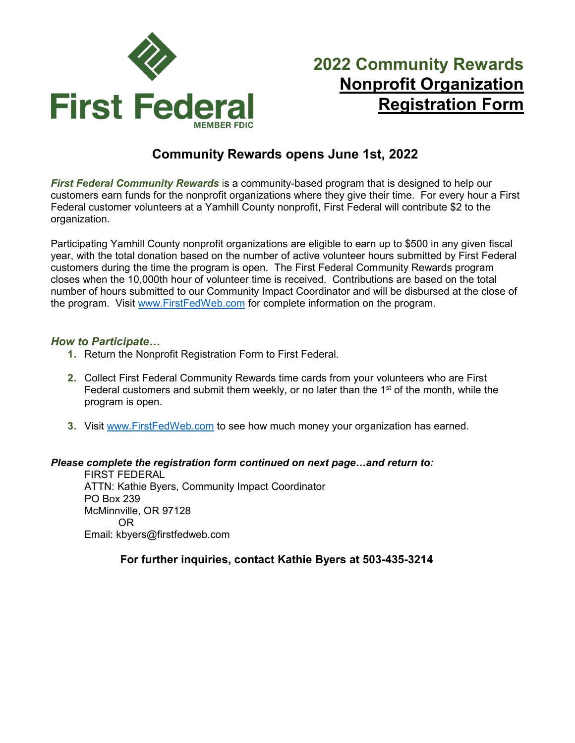

# **2022 Community Rewards Nonprofit Organization Registration Form**

### **Community Rewards opens June 1st, 2022**

*First Federal Community Rewards* is a community-based program that is designed to help our customers earn funds for the nonprofit organizations where they give their time. For every hour a First Federal customer volunteers at a Yamhill County nonprofit, First Federal will contribute \$2 to the organization.

Participating Yamhill County nonprofit organizations are eligible to earn up to \$500 in any given fiscal year, with the total donation based on the number of active volunteer hours submitted by First Federal customers during the time the program is open. The First Federal Community Rewards program closes when the 10,000th hour of volunteer time is received. Contributions are based on the total number of hours submitted to our Community Impact Coordinator and will be disbursed at the close of the program. Visit [www.FirstFedWeb.com](http://www.firstfedweb.com/) for complete information on the program.

#### *How to Participate…*

- **1.** Return the Nonprofit Registration Form to First Federal.
- **2.** Collect First Federal Community Rewards time cards from your volunteers who are First Federal customers and submit them weekly, or no later than the  $1<sup>st</sup>$  of the month, while the program is open.
- **3.** Visit [www.FirstFedWeb.com](http://www.firstfedweb.com/) to see how much money your organization has earned.

#### *Please complete the registration form continued on next page…and return to:*

FIRST FEDERAL ATTN: Kathie Byers, Community Impact Coordinator PO Box 239 McMinnville, OR 97128 OR Email: kbyers@firstfedweb.com

### **For further inquiries, contact Kathie Byers at 503-435-3214**